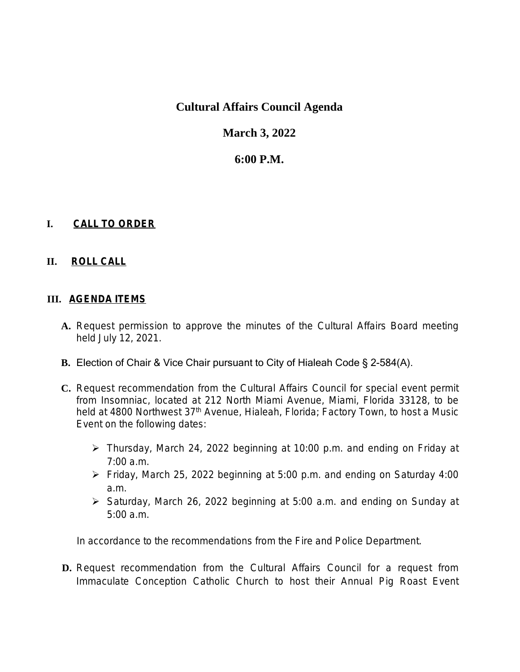# **Cultural Affairs Council Agenda**

# **March 3, 2022**

## **6:00 P.M.**

### **I. CALL TO ORDER**

#### **II. ROLL CALL**

#### **III. AGENDA ITEMS**

- **A.** Request permission to approve the minutes of the Cultural Affairs Board meeting held July 12, 2021.
- **B.** Election of Chair & Vice Chair pursuant to City of Hialeah Code § 2-584(A).
- **C.** Request recommendation from the Cultural Affairs Council for special event permit from Insomniac, located at 212 North Miami Avenue, Miami, Florida 33128, to be held at 4800 Northwest 37<sup>th</sup> Avenue, Hialeah, Florida; Factory Town, to host a Music Event on the following dates:
	- Thursday, March 24, 2022 beginning at 10:00 p.m. and ending on Friday at 7:00 a.m.
	- Friday, March 25, 2022 beginning at 5:00 p.m. and ending on Saturday 4:00 a.m.
	- Saturday, March 26, 2022 beginning at 5:00 a.m. and ending on Sunday at 5:00 a.m.

In accordance to the recommendations from the Fire and Police Department.

**D.** Request recommendation from the Cultural Affairs Council for a request from Immaculate Conception Catholic Church to host their Annual Pig Roast Event